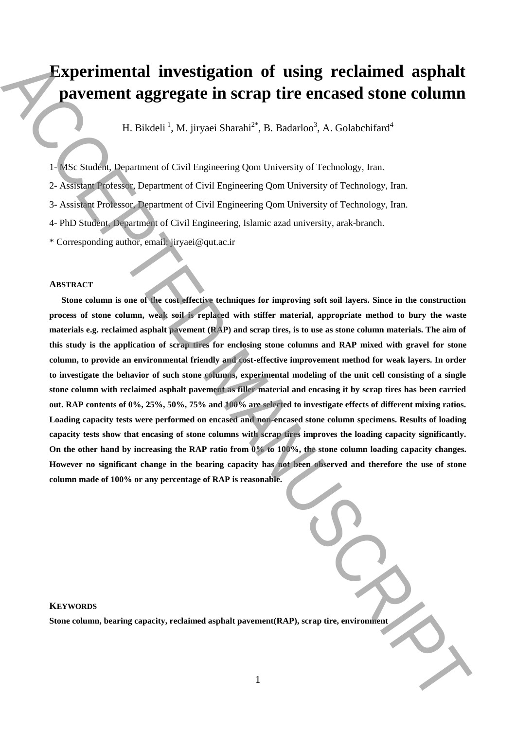# **Experimental investigation of using reclaimed asphalt pavement aggregate in scrap tire encased stone column**

H. Bikdeli<sup>1</sup>, M. jiryaei Sharahi<sup>2\*</sup>, B. Badarloo<sup>3</sup>, A. Golabchifard<sup>4</sup>

- 1- MSc Student, Department of Civil Engineering Qom University of Technology, Iran.
- 2- Assistant Professor, Department of Civil Engineering Qom University of Technology, Iran.
- 3- Assistant Professor, Department of Civil Engineering Qom University of Technology, Iran.
- 4- PhD Student, Department of Civil Engineering, Islamic azad university, arak-branch.
- \*.Corresponding author, email: jiryaei@qut.ac.ir

## **ABSTRACT**

**Stone column is one of the cost effective techniques for improving soft soil layers. Since in the construction process of stone column, weak soil is replaced with stiffer material, appropriate method to bury the waste materials e.g. reclaimed asphalt pavement (RAP) and scrap tires, is to use as stone column materials. The aim of this study is the application of scrap tires for enclosing stone columns and RAP mixed with gravel for stone column, to provide an environmental friendly and cost-effective improvement method for weak layers. In order to investigate the behavior of such stone columns, experimental modeling of the unit cell consisting of a single stone column with reclaimed asphalt pavement as filler material and encasing it by scrap tires has been carried out. RAP contents of 0%, 25%, 50%, 75% and 100% are selected to investigate effects of different mixing ratios. Loading capacity tests were performed on encased and non-encased stone column specimens. Results of loading capacity tests show that encasing of stone columns with scrap tires improves the loading capacity significantly. On the other hand by increasing the RAP ratio from 0% to 100%, the stone column loading capacity changes. However no significant change in the bearing capacity has not been observed and therefore the use of stone column made of 100% or any percentage of RAP is reasonable. Styperimential investigation of using reclaimed asphalt pavement asgregate in Strain F. B. Badarlov', A. Golabchind'**<br> **H. B.C. Standard Department of Coll Proposeine Que University of Technology, Inn.**<br>
2. Assumption Dep

# **KEYWORDS**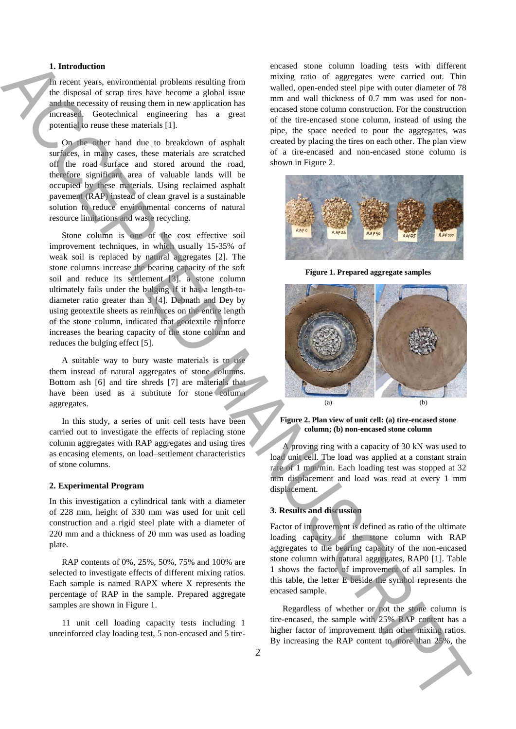# **1. Introduction**

In recent years, environmental problems resulting from the disposal of scrap tires have become a global issue and the necessity of reusing them in new application has increased. Geotechnical engineering has a great potential to reuse these materials [1].

On the other hand due to breakdown of asphalt surfaces, in many cases, these materials are scratched off the road surface and stored around the road, therefore significant area of valuable lands will be occupied by these materials. Using reclaimed asphalt pavement (RAP) instead of clean gravel is a sustainable solution to reduce environmental concerns of natural resource limitations and waste recycling.

Stone column is one of the cost effective soil improvement techniques, in which usually 15-35% of weak soil is replaced by natural aggregates [2]. The stone columns increase the bearing capacity of the soft soil and reduce its settlement [3]. a stone column ultimately fails under the bulging if it has a length-todiameter ratio greater than 3 [4]. Debnath and Dey by using geotextile sheets as reinforces on the entire length of the stone column, indicated that geotextile reinforce increases the bearing capacity of the stone column and reduces the bulging effect [5].

A suitable way to bury waste materials is to use them instead of natural aggregates of stone columns. Bottom ash [6] and tire shreds [7] are materials that have been used as a subtitute for stone column aggregates.

In this study, a series of unit cell tests have been carried out to investigate the effects of replacing stone column aggregates with RAP aggregates and using tires as encasing elements, on load–settlement characteristics of stone columns.

#### **2. Experimental Program**

In this investigation a cylindrical tank with a diameter of 228 mm, height of 330 mm was used for unit cell construction and a rigid steel plate with a diameter of 220 mm and a thickness of 20 mm was used as loading plate.

RAP contents of 0%, 25%, 50%, 75% and 100% are selected to investigate effects of different mixing ratios. Each sample is named RAPX where X represents the percentage of RAP in the sample. Prepared aggregate samples are shown in Figure 1.

11 unit cell loading capacity tests including 1 unreinforced clay loading test, 5 non-encased and 5 tireencased stone column loading tests with different mixing ratio of aggregates were carried out. Thin walled, open-ended steel pipe with outer diameter of 78 mm and wall thickness of 0.7 mm was used for nonencased stone column construction. For the construction of the tire-encased stone column, instead of using the pipe, the space needed to pour the aggregates, was created by placing the tires on each other. The plan view of a tire-encased and non-encased stone column is shown in Figure 2.



**Figure 1. Prepared aggregate samples**



**Figure 2. Plan view of unit cell: (a) tire-encased stone column; (b) non-encased stone column**

A proving ring with a capacity of 30 kN was used to load unit cell. The load was applied at a constant strain rate of 1 mm/min. Each loading test was stopped at 32 mm displacement and load was read at every 1 mm displacement.

## **3. Results and discussion**

Factor of improvement is defined as ratio of the ultimate loading capacity of the stone column with RAP aggregates to the bearing capacity of the non-encased stone column with natural aggregates, RAP0 [1]. Table 1 shows the factor of improvement of all samples. In this table, the letter E beside the symbol represents the encased sample.

Regardless of whether or not the stone column is tire-encased, the sample with 25% RAP content has a higher factor of improvement than other mixing ratios.